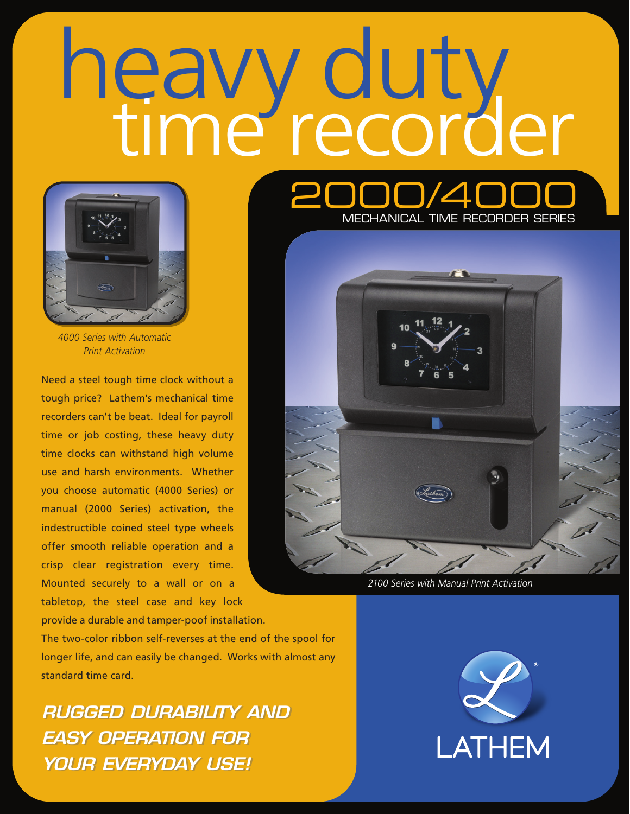# heavy duty<br>time recorder



*4000 Series with Automatic Print Activation*

Need a steel tough time clock without a tough price? Lathem's mechanical time recorders can't be beat. Ideal for payroll time or job costing, these heavy duty time clocks can withstand high volume use and harsh environments. Whether you choose automatic (4000 Series) or manual (2000 Series) activation, the indestructible coined steel type wheels offer smooth reliable operation and a crisp clear registration every time. Mounted securely to a wall or on a tabletop, the steel case and key lock

provide a durable and tamper-poof installation. The two-color ribbon self-reverses at the end of the spool for longer life, and can easily be changed. Works with almost any standard time card.

*RUGGED DURABILITY AND RUGGED DURABILITY AND EASY OPERATION FOR EASY OPERATION FOR YOUR EVERYDAY USE! YOUR EVERYDAY USE!*

 $7/\Delta$ MECHANICAL TIME RECORDER SERIES



*2100 Series with Manual Print Activation*